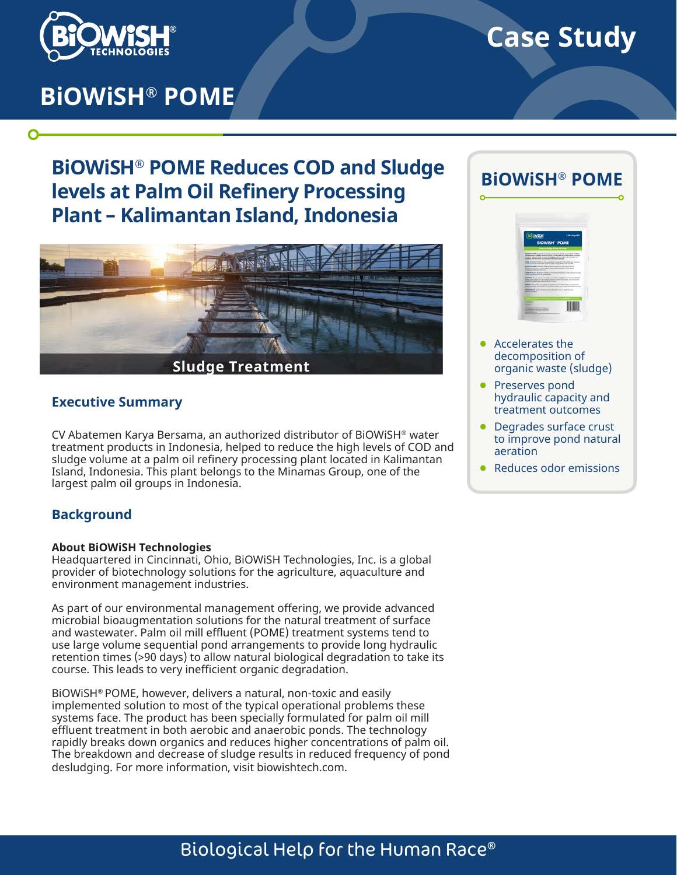

O

# **Case Study**

# **BiOWiSH® POME**

# **BiOWiSH® POME Reduces COD and Sludge levels at Palm Oil Refinery Processing Plant – Kalimantan Island, Indonesia**



### **Executive Summary**

CV Abatemen Karya Bersama, an authorized distributor of BiOWiSH® water treatment products in Indonesia, helped to reduce the high levels of COD and sludge volume at a palm oil refinery processing plant located in Kalimantan Island, Indonesia. This plant belongs to the Minamas Group, one of the largest palm oil groups in Indonesia.

### **Background**

#### **About BiOWiSH Technologies**

Headquartered in Cincinnati, Ohio, BiOWiSH Technologies, Inc. is a global provider of biotechnology solutions for the agriculture, aquaculture and environment management industries.

As part of our environmental management offering, we provide advanced microbial bioaugmentation solutions for the natural treatment of surface and wastewater. Palm oil mill effluent (POME) treatment systems tend to use large volume sequential pond arrangements to provide long hydraulic retention times (>90 days) to allow natural biological degradation to take its course. This leads to very inefficient organic degradation.

BiOWiSH® POME, however, delivers a natural, non-toxic and easily implemented solution to most of the typical operational problems these systems face. The product has been specially formulated for palm oil mill effluent treatment in both aerobic and anaerobic ponds. The technology rapidly breaks down organics and reduces higher concentrations of palm oil. The breakdown and decrease of sludge results in reduced frequency of pond desludging. For more information, visit biowishtech.com.

# **BiOWiSH® POME**

|                                                                                                                                                                                                                                                                                                                             | 2.20s (Tike) NET |  |
|-----------------------------------------------------------------------------------------------------------------------------------------------------------------------------------------------------------------------------------------------------------------------------------------------------------------------------|------------------|--|
| <b>BIOWISH POME</b>                                                                                                                                                                                                                                                                                                         |                  |  |
| Rodcoss Shadge in Falm Oil Ponds                                                                                                                                                                                                                                                                                            |                  |  |
| <b>Britanniam initiatif</b> Acades down shelbe and technique shelbe accommodation in Padra.<br>On this diffusion shidded traument purchs. The brankdown and dannappe of studies<br>results in reduced need for sund deviations, reduced oder and restoration of<br>hodraulis relambon Emm to muscledge traudment outcomers. |                  |  |
| USEB TIORITIP POM! has hear specially formulated for Palm Oli Efficerd Insulment<br>in both aproba and anaemitic service to reduce studes. BOD, COD and TSS.                                                                                                                                                                |                  |  |
| <b>BETRACTORN TIORITIP FORE should be auded in accordance with the</b><br>FOM Live Guite, For hether statula, stease contact BOSHIP Technologies.<br>at a subscription in contribution humans.                                                                                                                              |                  |  |
| COMPATIBILITY: ECULD/* FORE will not complete infectively in the announce of sums.<br>shamout anoturis such as decreasingly.                                                                                                                                                                                                |                  |  |
| <b>EXHAUL Trust in a real, do location out of dead survived. Crow coursed, BONISH</b><br><b>PEAK must be just do in an activity container to answer activation</b> finite in another<br><b>BENNING FEMAL NA IL ABATIVA EN 47 15 FALL</b>                                                                                    |                  |  |
| BAFETY. This product is cleaning numbered to a and nominatestics. To dominant a<br>Balley Data Sheet, and Hugard or Pind Avid Education, up for www.boxeshire.husennails.                                                                                                                                                   |                  |  |
| <b>BEFEDENTS Artist Hornital subures Electrics Level 1, Dealmos, Salt.</b><br>Network armunations                                                                                                                                                                                                                           |                  |  |
| Another product powered by the revolutionary BOWENT (infinitial                                                                                                                                                                                                                                                             |                  |  |
| <b><i>LEARN THE</i></b>                                                                                                                                                                                                                                                                                                     |                  |  |
| <b>Basic Ballion</b><br>Metabolista by ECHIA Technologies, Inc.                                                                                                                                                                                                                                                             |                  |  |
| UNIVERSITY CROWN, ORIGINAL<br><b>SSIE ESSE: FASATIAE STARTES</b><br>was brainfield to                                                                                                                                                                                                                                       |                  |  |

- Accelerates the decomposition of organic waste (sludge)
- Preserves pond hydraulic capacity and treatment outcomes
- Degrades surface crust to improve pond natural aeration
- Reduces odor emissions

# Biological Help for the Human Race®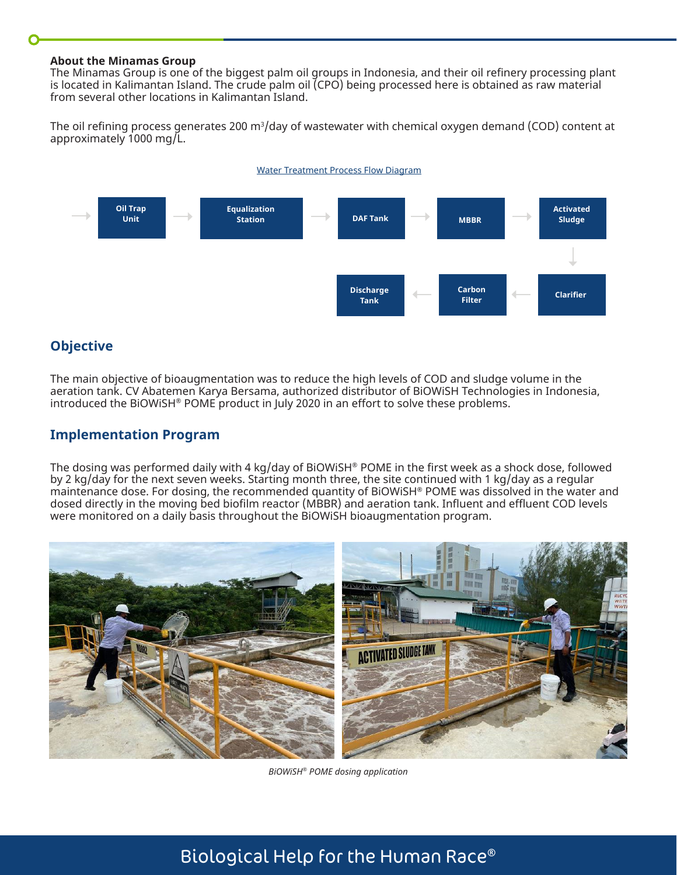#### **About the Minamas Group**

The Minamas Group is one of the biggest palm oil groups in Indonesia, and their oil refinery processing plant is located in Kalimantan Island. The crude palm oil (CPO) being processed here is obtained as raw material from several other locations in Kalimantan Island.

The oil refining process generates 200 m $^3\!$  day of wastewater with chemical oxygen demand (COD) content at approximately 1000 mg/L.





### **Objective**

The main objective of bioaugmentation was to reduce the high levels of COD and sludge volume in the aeration tank. CV Abatemen Karya Bersama, authorized distributor of BiOWiSH Technologies in Indonesia, introduced the BiOWiSH® POME product in July 2020 in an effort to solve these problems.

### **Implementation Program**

The dosing was performed daily with 4 kg/day of BiOWiSH® POME in the first week as a shock dose, followed by 2 kg/day for the next seven weeks. Starting month three, the site continued with 1 kg/day as a regular maintenance dose. For dosing, the recommended quantity of BiOWiSH® POME was dissolved in the water and dosed directly in the moving bed biofilm reactor (MBBR) and aeration tank. Influent and effluent COD levels were monitored on a daily basis throughout the BiOWiSH bioaugmentation program.



*BiOWiSH® POME dosing application*

# Biological Help for the Human Race®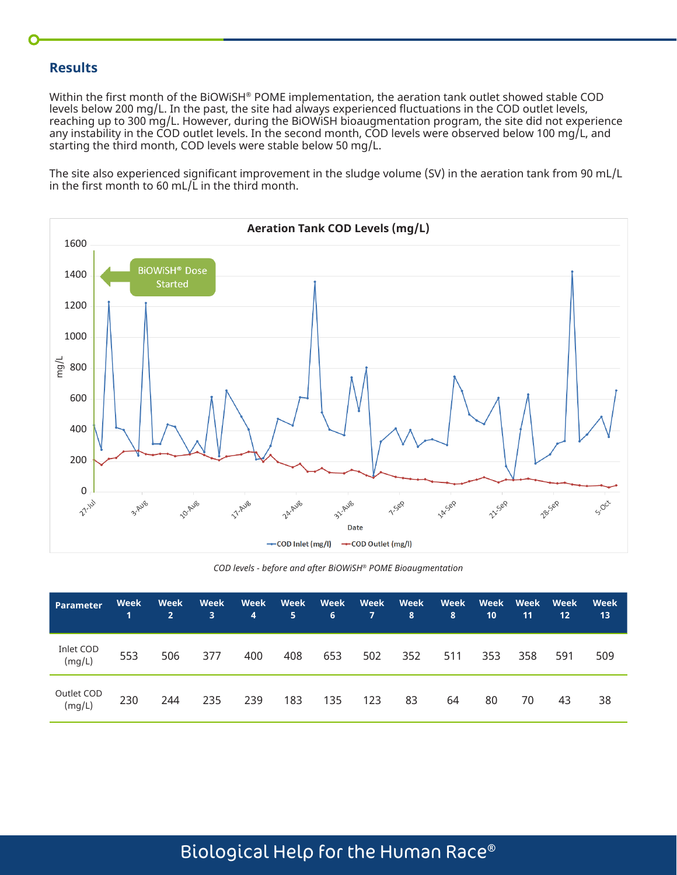### **Results**

Within the first month of the BiOWiSH® POME implementation, the aeration tank outlet showed stable COD levels below 200 mg/L. In the past, the site had always experienced fluctuations in the COD outlet levels, reaching up to 300 mg/L. However, during the BiOWiSH bioaugmentation program, the site did not experience any instability in the COD outlet levels. In the second month, COD levels were observed below 100 mg/L, and starting the third month, COD levels were stable below 50 mg/L.

The site also experienced significant improvement in the sludge volume (SV) in the aeration tank from 90 mL/L in the first month to 60 mL/ $\overline{L}$  in the third month.



*COD levels - before and after BiOWiSH® POME Bioaugmentation*

| <b>Parameter</b>     | Week<br>$\mathbf 1$ | Week<br>2 <sup>1</sup> | Week<br>3 | Week<br>4 | 5.  | Week Week<br>6 | Week<br>$7^{\circ}$ | Week<br>8 | Week<br>8 | Week<br>10 | Week<br>11 | Week<br>12 | Week<br>13 |
|----------------------|---------------------|------------------------|-----------|-----------|-----|----------------|---------------------|-----------|-----------|------------|------------|------------|------------|
| Inlet COD<br>(mg/L)  | 553                 | 506                    | 377       | 400       | 408 | 653            | 502                 | 352       | 511       | 353        | 358        | 591        | 509        |
| Outlet COD<br>(mg/L) | 230                 | 244                    | 235       | 239       | 183 | 135            | 123                 | 83        | 64        | 80         | 70         | 43         | 38         |